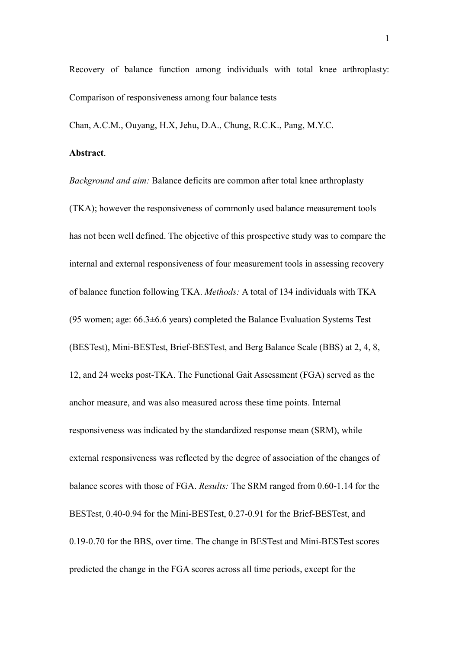Recovery of balance function among individuals with total knee arthroplasty: Comparison of responsiveness among four balance tests

Chan, A.C.M., Ouyang, H.X, Jehu, D.A., Chung, R.C.K., Pang, M.Y.C.

# **Abstract**.

*Background and aim:* Balance deficits are common after total knee arthroplasty (TKA); however the responsiveness of commonly used balance measurement tools has not been well defined. The objective of this prospective study was to compare the internal and external responsiveness of four measurement tools in assessing recovery of balance function following TKA. *Methods:* A total of 134 individuals with TKA (95 women; age:  $66.3\pm6.6$  years) completed the Balance Evaluation Systems Test (BESTest), Mini-BESTest, Brief-BESTest, and Berg Balance Scale (BBS) at 2, 4, 8, 12, and 24 weeks post-TKA. The Functional Gait Assessment (FGA) served as the anchor measure, and was also measured across these time points. Internal responsiveness was indicated by the standardized response mean (SRM), while external responsiveness was reflected by the degree of association of the changes of balance scores with those of FGA. *Results:* The SRM ranged from 0.60-1.14 for the BESTest, 0.40-0.94 for the Mini-BESTest, 0.27-0.91 for the Brief-BESTest, and 0.19-0.70 for the BBS, over time. The change in BESTest and Mini-BESTest scores predicted the change in the FGA scores across all time periods, except for the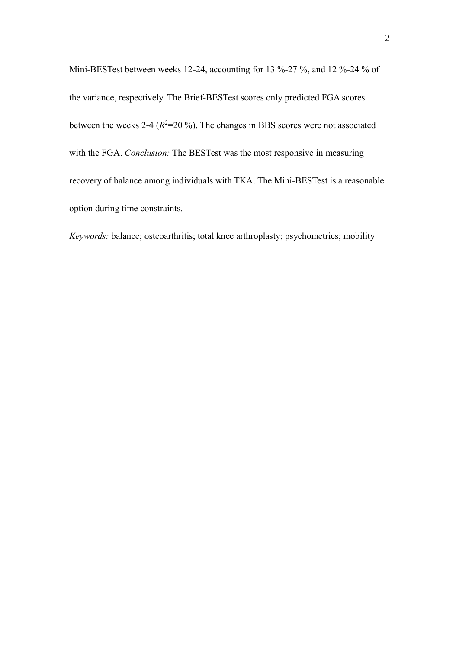Mini-BESTest between weeks 12-24, accounting for 13 %-27 %, and 12 %-24 % of the variance, respectively. The Brief-BESTest scores only predicted FGA scores between the weeks 2-4  $(R^2=20\%)$ . The changes in BBS scores were not associated with the FGA. *Conclusion:* The BESTest was the most responsive in measuring recovery of balance among individuals with TKA. The Mini-BESTest is a reasonable option during time constraints.

*Keywords:* balance; osteoarthritis; total knee arthroplasty; psychometrics; mobility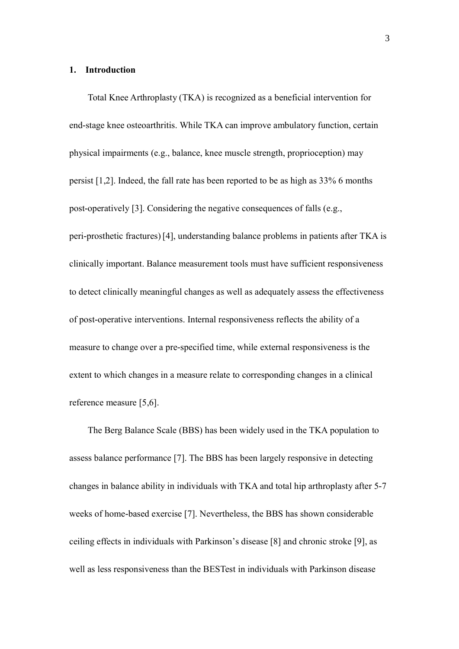#### **1. Introduction**

Total Knee Arthroplasty (TKA) is recognized as a beneficial intervention for end-stage knee osteoarthritis. While TKA can improve ambulatory function, certain physical impairments (e.g., balance, knee muscle strength, proprioception) may persist [1,2]. Indeed, the fall rate has been reported to be as high as 33% 6 months post-operatively [3]. Considering the negative consequences of falls (e.g., peri-prosthetic fractures) [4], understanding balance problems in patients after TKA is clinically important. Balance measurement tools must have sufficient responsiveness to detect clinically meaningful changes as well as adequately assess the effectiveness of post-operative interventions. Internal responsiveness reflects the ability of a measure to change over a pre-specified time, while external responsiveness is the extent to which changes in a measure relate to corresponding changes in a clinical reference measure [5,6].

The Berg Balance Scale (BBS) has been widely used in the TKA population to assess balance performance [7]. The BBS has been largely responsive in detecting changes in balance ability in individuals with TKA and total hip arthroplasty after 5-7 weeks of home-based exercise [7]. Nevertheless, the BBS has shown considerable ceiling effects in individuals with Parkinson's disease [8] and chronic stroke [9], as well as less responsiveness than the BESTest in individuals with Parkinson disease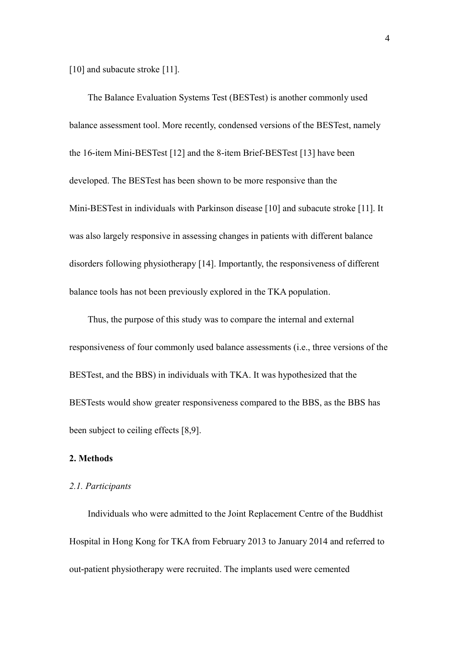[10] and subacute stroke [11].

The Balance Evaluation Systems Test (BESTest) is another commonly used balance assessment tool. More recently, condensed versions of the BESTest, namely the 16-item Mini-BESTest [12] and the 8-item Brief-BESTest [13] have been developed. The BESTest has been shown to be more responsive than the Mini-BESTest in individuals with Parkinson disease [10] and subacute stroke [11]. It was also largely responsive in assessing changes in patients with different balance disorders following physiotherapy [14]. Importantly, the responsiveness of different balance tools has not been previously explored in the TKA population.

Thus, the purpose of this study was to compare the internal and external responsiveness of four commonly used balance assessments (i.e., three versions of the BESTest, and the BBS) in individuals with TKA. It was hypothesized that the BESTests would show greater responsiveness compared to the BBS, as the BBS has been subject to ceiling effects [8,9].

# **2. Methods**

## *2.1. Participants*

Individuals who were admitted to the Joint Replacement Centre of the Buddhist Hospital in Hong Kong for TKA from February 2013 to January 2014 and referred to out-patient physiotherapy were recruited. The implants used were cemented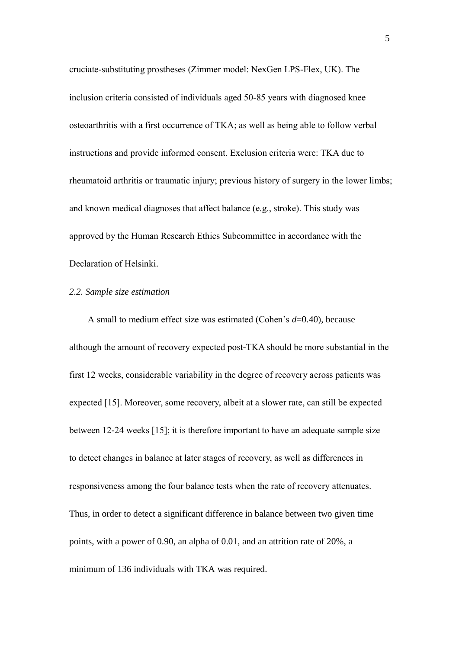cruciate-substituting prostheses (Zimmer model: NexGen LPS-Flex, UK). The inclusion criteria consisted of individuals aged 50-85 years with diagnosed knee osteoarthritis with a first occurrence of TKA; as well as being able to follow verbal instructions and provide informed consent. Exclusion criteria were: TKA due to rheumatoid arthritis or traumatic injury; previous history of surgery in the lower limbs; and known medical diagnoses that affect balance (e.g., stroke). This study was approved by the Human Research Ethics Subcommittee in accordance with the Declaration of Helsinki.

## *2.2. Sample size estimation*

A small to medium effect size was estimated (Cohen's *d*=0.40), because although the amount of recovery expected post-TKA should be more substantial in the first 12 weeks, considerable variability in the degree of recovery across patients was expected [15]. Moreover, some recovery, albeit at a slower rate, can still be expected between 12-24 weeks [15]; it is therefore important to have an adequate sample size to detect changes in balance at later stages of recovery, as well as differences in responsiveness among the four balance tests when the rate of recovery attenuates. Thus, in order to detect a significant difference in balance between two given time points, with a power of 0.90, an alpha of 0.01, and an attrition rate of 20%, a minimum of 136 individuals with TKA was required.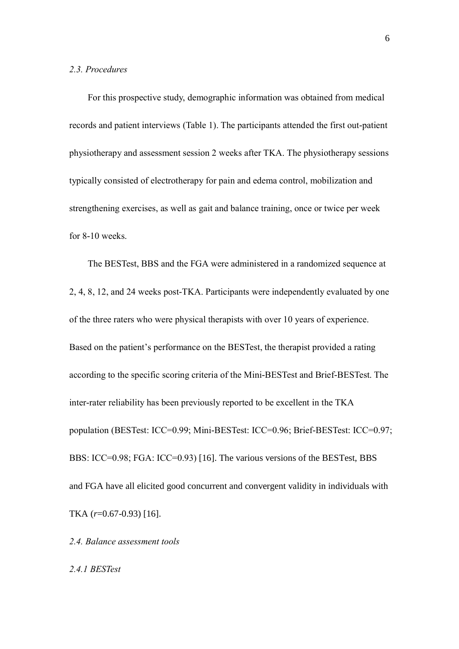#### *2.3. Procedures*

For this prospective study, demographic information was obtained from medical records and patient interviews (Table 1). The participants attended the first out-patient physiotherapy and assessment session 2 weeks after TKA. The physiotherapy sessions typically consisted of electrotherapy for pain and edema control, mobilization and strengthening exercises, as well as gait and balance training, once or twice per week for 8-10 weeks.

The BESTest, BBS and the FGA were administered in a randomized sequence at 2, 4, 8, 12, and 24 weeks post-TKA. Participants were independently evaluated by one of the three raters who were physical therapists with over 10 years of experience. Based on the patient's performance on the BESTest, the therapist provided a rating according to the specific scoring criteria of the Mini-BESTest and Brief-BESTest. The inter-rater reliability has been previously reported to be excellent in the TKA population (BESTest: ICC=0.99; Mini-BESTest: ICC=0.96; Brief-BESTest: ICC=0.97; BBS: ICC=0.98; FGA: ICC=0.93) [16]. The various versions of the BESTest, BBS and FGA have all elicited good concurrent and convergent validity in individuals with TKA (*r*=0.67-0.93) [16].

*2.4. Balance assessment tools*

*2.4.1 BESTest*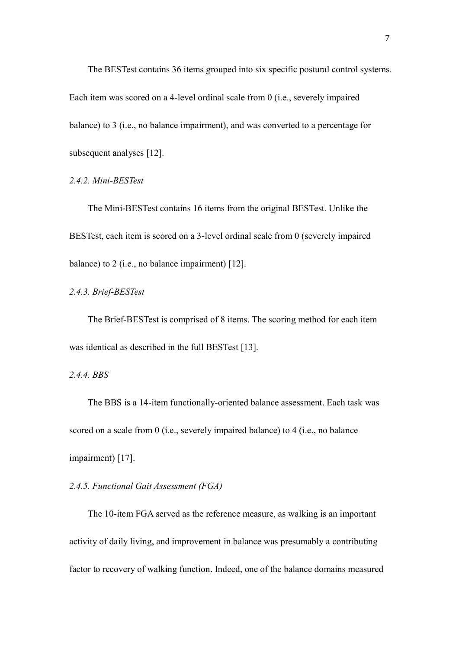The BESTest contains 36 items grouped into six specific postural control systems. Each item was scored on a 4-level ordinal scale from 0 (i.e., severely impaired balance) to 3 (i.e., no balance impairment), and was converted to a percentage for subsequent analyses [12].

*2.4.2. Mini-BESTest*

The Mini-BESTest contains 16 items from the original BESTest. Unlike the BESTest, each item is scored on a 3-level ordinal scale from 0 (severely impaired balance) to 2 (i.e., no balance impairment) [12].

*2.4.3. Brief-BESTest*

The Brief-BESTest is comprised of 8 items. The scoring method for each item was identical as described in the full BESTest [13].

*2.4.4. BBS*

The BBS is a 14-item functionally-oriented balance assessment. Each task was scored on a scale from 0 (i.e., severely impaired balance) to 4 (i.e., no balance impairment) [17].

## *2.4.5. Functional Gait Assessment (FGA)*

The 10-item FGA served as the reference measure, as walking is an important activity of daily living, and improvement in balance was presumably a contributing factor to recovery of walking function. Indeed, one of the balance domains measured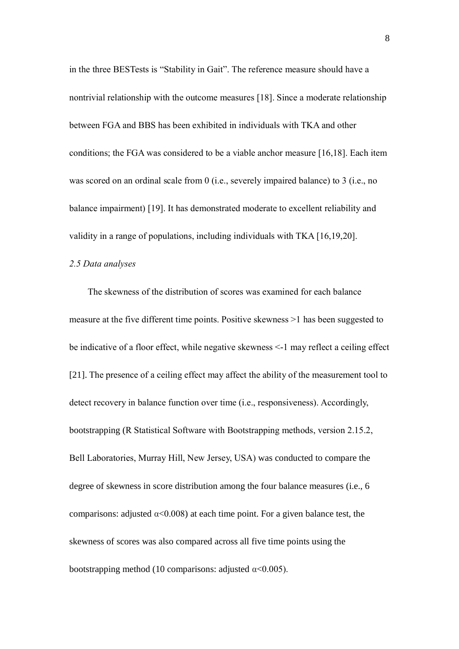in the three BESTests is "Stability in Gait". The reference measure should have a nontrivial relationship with the outcome measures [18]. Since a moderate relationship between FGA and BBS has been exhibited in individuals with TKA and other conditions; the FGA was considered to be a viable anchor measure [16,18]. Each item was scored on an ordinal scale from 0 (i.e., severely impaired balance) to 3 (i.e., no balance impairment) [19]. It has demonstrated moderate to excellent reliability and validity in a range of populations, including individuals with TKA [16,19,20].

### *2.5 Data analyses*

The skewness of the distribution of scores was examined for each balance measure at the five different time points. Positive skewness >1 has been suggested to be indicative of a floor effect, while negative skewness <-1 may reflect a ceiling effect [21]. The presence of a ceiling effect may affect the ability of the measurement tool to detect recovery in balance function over time (i.e., responsiveness). Accordingly, bootstrapping (R Statistical Software with Bootstrapping methods, version 2.15.2, Bell Laboratories, Murray Hill, New Jersey, USA) was conducted to compare the degree of skewness in score distribution among the four balance measures (i.e., 6 comparisons: adjusted  $\alpha$ <0.008) at each time point. For a given balance test, the skewness of scores was also compared across all five time points using the bootstrapping method (10 comparisons: adjusted  $\alpha$ <0.005).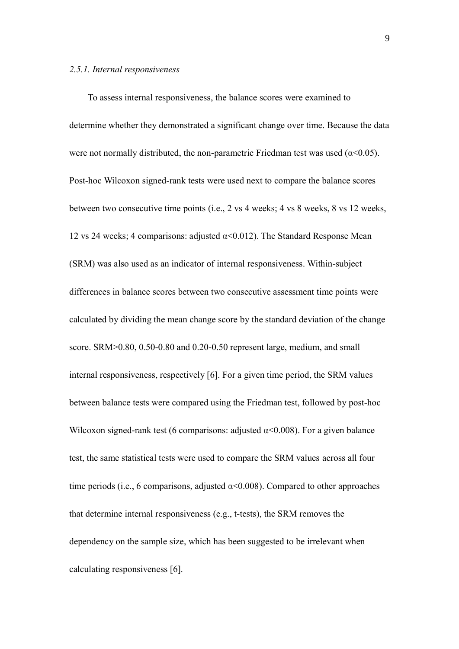#### *2.5.1. Internal responsiveness*

To assess internal responsiveness, the balance scores were examined to determine whether they demonstrated a significant change over time. Because the data were not normally distributed, the non-parametric Friedman test was used ( $\alpha$ <0.05). Post-hoc Wilcoxon signed-rank tests were used next to compare the balance scores between two consecutive time points (i.e., 2 vs 4 weeks; 4 vs 8 weeks, 8 vs 12 weeks, 12 vs 24 weeks; 4 comparisons: adjusted  $\alpha$ <0.012). The Standard Response Mean (SRM) was also used as an indicator of internal responsiveness. Within-subject differences in balance scores between two consecutive assessment time points were calculated by dividing the mean change score by the standard deviation of the change score. SRM>0.80, 0.50-0.80 and 0.20-0.50 represent large, medium, and small internal responsiveness, respectively [6]. For a given time period, the SRM values between balance tests were compared using the Friedman test, followed by post-hoc Wilcoxon signed-rank test (6 comparisons: adjusted  $\alpha$ <0.008). For a given balance test, the same statistical tests were used to compare the SRM values across all four time periods (i.e., 6 comparisons, adjusted  $\alpha$ <0.008). Compared to other approaches that determine internal responsiveness (e.g., t-tests), the SRM removes the dependency on the sample size, which has been suggested to be irrelevant when calculating responsiveness [6].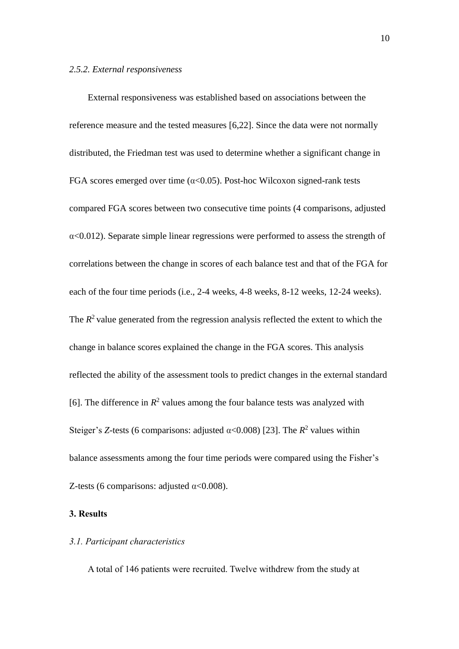#### *2.5.2. External responsiveness*

External responsiveness was established based on associations between the reference measure and the tested measures [6,22]. Since the data were not normally distributed, the Friedman test was used to determine whether a significant change in FGA scores emerged over time ( $\alpha$ <0.05). Post-hoc Wilcoxon signed-rank tests compared FGA scores between two consecutive time points (4 comparisons, adjusted  $\alpha$ <0.012). Separate simple linear regressions were performed to assess the strength of correlations between the change in scores of each balance test and that of the FGA for each of the four time periods (i.e., 2-4 weeks, 4-8 weeks, 8-12 weeks, 12-24 weeks). The  $R<sup>2</sup>$  value generated from the regression analysis reflected the extent to which the change in balance scores explained the change in the FGA scores. This analysis reflected the ability of the assessment tools to predict changes in the external standard [6]. The difference in  $R^2$  values among the four balance tests was analyzed with Steiger's *Z*-tests (6 comparisons: adjusted  $\alpha$ <0.008) [23]. The  $R^2$  values within balance assessments among the four time periods were compared using the Fisher's Z-tests (6 comparisons: adjusted  $\alpha$ <0.008).

# **3. Results**

### *3.1. Participant characteristics*

A total of 146 patients were recruited. Twelve withdrew from the study at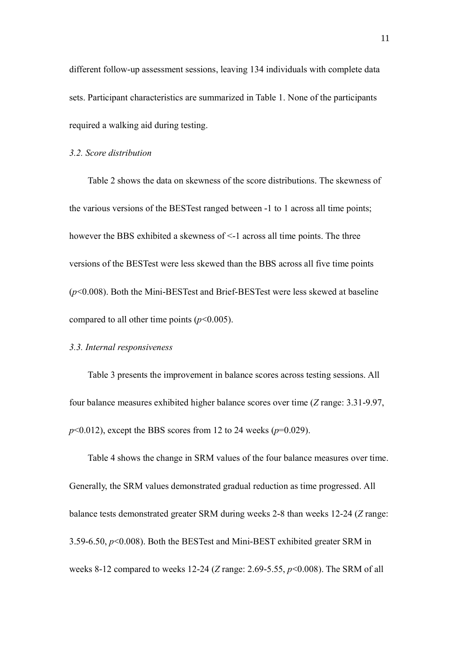different follow-up assessment sessions, leaving 134 individuals with complete data sets. Participant characteristics are summarized in Table 1. None of the participants required a walking aid during testing.

## *3.2. Score distribution*

Table 2 shows the data on skewness of the score distributions. The skewness of the various versions of the BESTest ranged between -1 to 1 across all time points; however the BBS exhibited a skewness of <-1 across all time points. The three versions of the BESTest were less skewed than the BBS across all five time points (*p*<0.008). Both the Mini-BESTest and Brief-BESTest were less skewed at baseline compared to all other time points  $(p<0.005)$ .

## *3.3. Internal responsiveness*

Table 3 presents the improvement in balance scores across testing sessions. All four balance measures exhibited higher balance scores over time (*Z* range: 3.31-9.97, *p*<0.012), except the BBS scores from 12 to 24 weeks (*p*=0.029).

Table 4 shows the change in SRM values of the four balance measures over time. Generally, the SRM values demonstrated gradual reduction as time progressed. All balance tests demonstrated greater SRM during weeks 2-8 than weeks 12-24 (*Z* range: 3.59-6.50, *p*<0.008). Both the BESTest and Mini-BEST exhibited greater SRM in weeks 8-12 compared to weeks 12-24 (*Z* range: 2.69-5.55, *p*<0.008). The SRM of all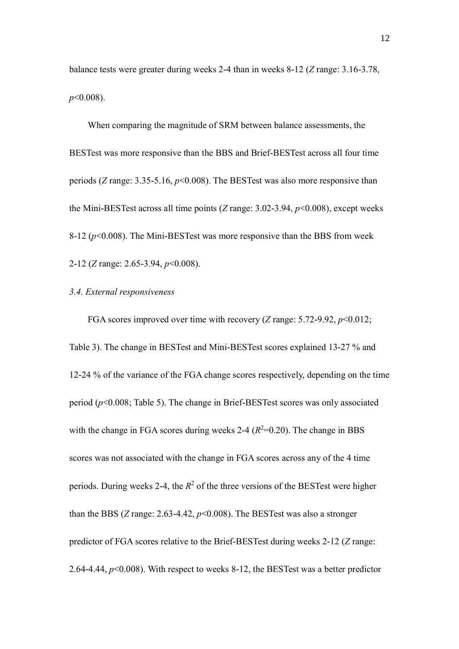balance tests were greater during weeks 2-4 than in weeks 8-12 (*Z* range: 3.16-3.78, *p*<0.008).

When comparing the magnitude of SRM between balance assessments, the BESTest was more responsive than the BBS and Brief-BESTest across all four time periods (*Z* range: 3.35-5.16, *p*<0.008). The BESTest was also more responsive than the Mini-BESTest across all time points (*Z* range: 3.02-3.94, *p*<0.008), except weeks  $8-12$  ( $p<0.008$ ). The Mini-BESTest was more responsive than the BBS from week 2-12 (*Z* range: 2.65-3.94, *p*<0.008).

## *3.4. External responsiveness*

FGA scores improved over time with recovery (*Z* range: 5.72-9.92, *p*<0.012; Table 3). The change in BESTest and Mini-BESTest scores explained 13-27 % and 12-24 % of the variance of the FGA change scores respectively, depending on the time period (*p*<0.008; Table 5). The change in Brief-BESTest scores was only associated with the change in FGA scores during weeks 2-4  $(R^2=0.20)$ . The change in BBS scores was not associated with the change in FGA scores across any of the 4 time periods. During weeks 2-4, the  $R^2$  of the three versions of the BESTest were higher than the BBS (*Z* range: 2.63-4.42, *p*<0.008). The BESTest was also a stronger predictor of FGA scores relative to the Brief-BESTest during weeks 2-12 (*Z* range: 2.64-4.44, *p*<0.008). With respect to weeks 8-12, the BESTest was a better predictor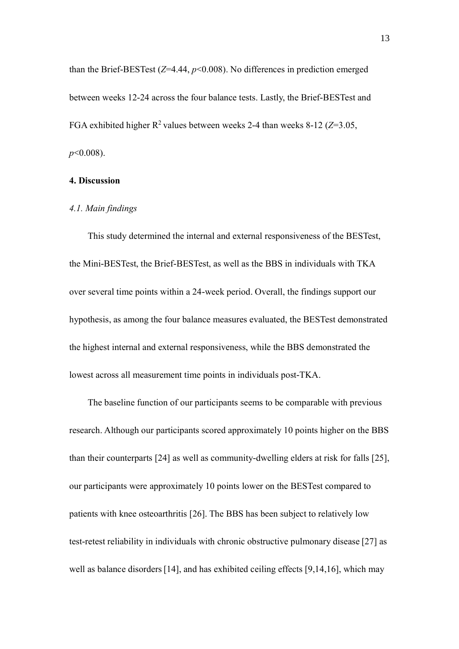than the Brief-BESTest (*Z*=4.44, *p*<0.008). No differences in prediction emerged between weeks 12-24 across the four balance tests. Lastly, the Brief-BESTest and FGA exhibited higher R 2 values between weeks 2-4 than weeks 8-12 (*Z*=3.05, *p*<0.008).

# **4. Discussion**

#### *4.1. Main findings*

This study determined the internal and external responsiveness of the BESTest, the Mini-BESTest, the Brief-BESTest, as well as the BBS in individuals with TKA over several time points within a 24-week period. Overall, the findings support our hypothesis, as among the four balance measures evaluated, the BESTest demonstrated the highest internal and external responsiveness, while the BBS demonstrated the lowest across all measurement time points in individuals post-TKA.

The baseline function of our participants seems to be comparable with previous research. Although our participants scored approximately 10 points higher on the BBS than their counterparts [24] as well as community-dwelling elders at risk for falls [25], our participants were approximately 10 points lower on the BESTest compared to patients with knee osteoarthritis [26]. The BBS has been subject to relatively low test-retest reliability in individuals with chronic obstructive pulmonary disease [27] as well as balance disorders [14], and has exhibited ceiling effects [9,14,16], which may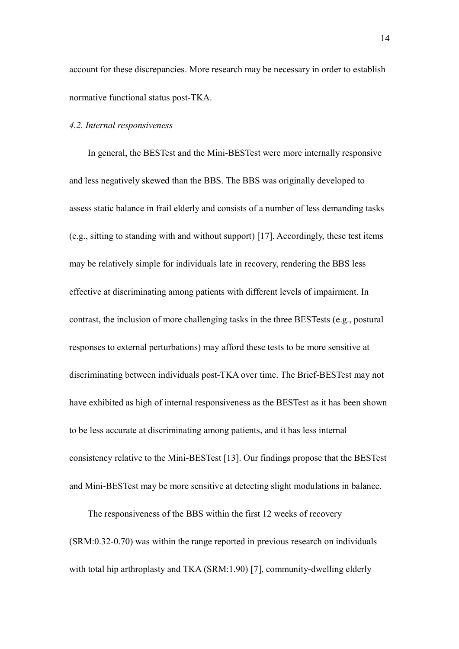account for these discrepancies. More research may be necessary in order to establish normative functional status post-TKA.

## *4.2. Internal responsiveness*

In general, the BESTest and the Mini-BESTest were more internally responsive and less negatively skewed than the BBS. The BBS was originally developed to assess static balance in frail elderly and consists of a number of less demanding tasks (e.g., sitting to standing with and without support) [17]. Accordingly, these test items may be relatively simple for individuals late in recovery, rendering the BBS less effective at discriminating among patients with different levels of impairment. In contrast, the inclusion of more challenging tasks in the three BESTests (e.g., postural responses to external perturbations) may afford these tests to be more sensitive at discriminating between individuals post-TKA over time. The Brief-BESTest may not have exhibited as high of internal responsiveness as the BESTest as it has been shown to be less accurate at discriminating among patients, and it has less internal consistency relative to the Mini-BESTest [13]. Our findings propose that the BESTest and Mini-BESTest may be more sensitive at detecting slight modulations in balance.

The responsiveness of the BBS within the first 12 weeks of recovery (SRM:0.32-0.70) was within the range reported in previous research on individuals with total hip arthroplasty and TKA (SRM:1.90) [7], community-dwelling elderly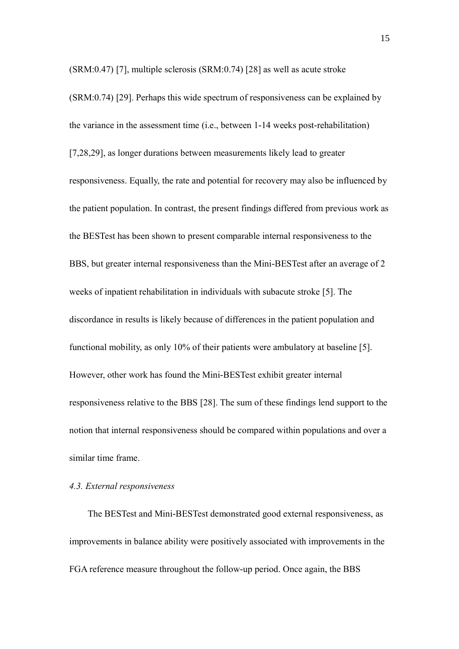(SRM:0.47) [7], multiple sclerosis (SRM:0.74) [28] as well as acute stroke

(SRM:0.74) [29]. Perhaps this wide spectrum of responsiveness can be explained by the variance in the assessment time (i.e., between 1-14 weeks post-rehabilitation) [7,28,29], as longer durations between measurements likely lead to greater responsiveness. Equally, the rate and potential for recovery may also be influenced by the patient population. In contrast, the present findings differed from previous work as the BESTest has been shown to present comparable internal responsiveness to the BBS, but greater internal responsiveness than the Mini-BESTest after an average of 2 weeks of inpatient rehabilitation in individuals with subacute stroke [5]. The discordance in results is likely because of differences in the patient population and functional mobility, as only 10% of their patients were ambulatory at baseline [5]. However, other work has found the Mini-BESTest exhibit greater internal responsiveness relative to the BBS [28]. The sum of these findings lend support to the notion that internal responsiveness should be compared within populations and over a similar time frame.

## *4.3. External responsiveness*

The BESTest and Mini-BESTest demonstrated good external responsiveness, as improvements in balance ability were positively associated with improvements in the FGA reference measure throughout the follow-up period. Once again, the BBS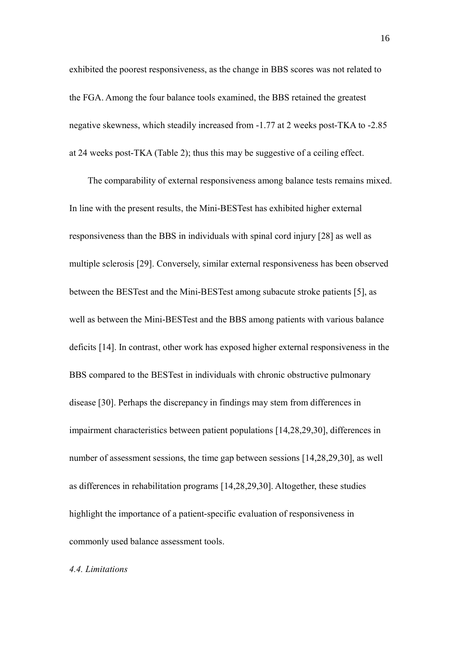exhibited the poorest responsiveness, as the change in BBS scores was not related to the FGA. Among the four balance tools examined, the BBS retained the greatest negative skewness, which steadily increased from -1.77 at 2 weeks post-TKA to -2.85 at 24 weeks post-TKA (Table 2); thus this may be suggestive of a ceiling effect.

The comparability of external responsiveness among balance tests remains mixed. In line with the present results, the Mini-BESTest has exhibited higher external responsiveness than the BBS in individuals with spinal cord injury [28] as well as multiple sclerosis [29]. Conversely, similar external responsiveness has been observed between the BESTest and the Mini-BESTest among subacute stroke patients [5], as well as between the Mini-BESTest and the BBS among patients with various balance deficits [14]. In contrast, other work has exposed higher external responsiveness in the BBS compared to the BESTest in individuals with chronic obstructive pulmonary disease [30]. Perhaps the discrepancy in findings may stem from differences in impairment characteristics between patient populations [14,28,29,30], differences in number of assessment sessions, the time gap between sessions [14,28,29,30], as well as differences in rehabilitation programs [14,28,29,30]. Altogether, these studies highlight the importance of a patient-specific evaluation of responsiveness in commonly used balance assessment tools.

#### *4.4. Limitations*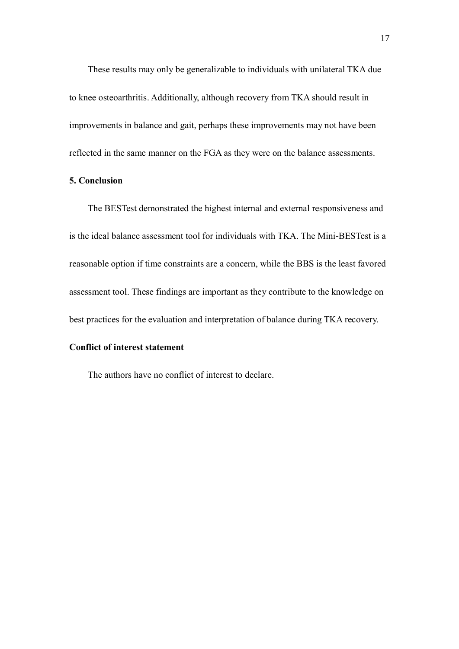These results may only be generalizable to individuals with unilateral TKA due to knee osteoarthritis. Additionally, although recovery from TKA should result in improvements in balance and gait, perhaps these improvements may not have been reflected in the same manner on the FGA as they were on the balance assessments.

# **5. Conclusion**

The BESTest demonstrated the highest internal and external responsiveness and is the ideal balance assessment tool for individuals with TKA. The Mini-BESTest is a reasonable option if time constraints are a concern, while the BBS is the least favored assessment tool. These findings are important as they contribute to the knowledge on best practices for the evaluation and interpretation of balance during TKA recovery.

# **Conflict of interest statement**

The authors have no conflict of interest to declare.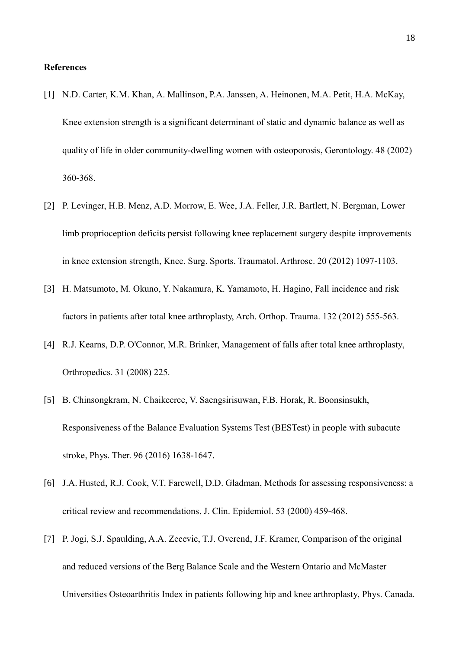## **References**

- [1] N.D. Carter, K.M. Khan, A. Mallinson, P.A. Janssen, A. Heinonen, M.A. Petit, H.A. McKay, Knee extension strength is a significant determinant of static and dynamic balance as well as quality of life in older community-dwelling women with osteoporosis, Gerontology. 48 (2002) 360-368.
- [2] P. Levinger, H.B. Menz, A.D. Morrow, E. Wee, J.A. Feller, J.R. Bartlett, N. Bergman, Lower limb proprioception deficits persist following knee replacement surgery despite improvements in knee extension strength, Knee. Surg. Sports. Traumatol. Arthrosc. 20 (2012) 1097-1103.
- [3] H. Matsumoto, M. Okuno, Y. Nakamura, K. Yamamoto, H. Hagino, Fall incidence and risk factors in patients after total knee arthroplasty, Arch. Orthop. Trauma. 132 (2012) 555-563.
- [4] R.J. Kearns, D.P. O'Connor, M.R. Brinker, Management of falls after total knee arthroplasty, Orthropedics. 31 (2008) 225.
- [5] B. Chinsongkram, N. Chaikeeree, V. Saengsirisuwan, F.B. Horak, R. Boonsinsukh, Responsiveness of the Balance Evaluation Systems Test (BESTest) in people with subacute stroke, Phys. Ther. 96 (2016) 1638-1647.
- [6] J.A. Husted, R.J. [Cook,](http://www.ncbi.nlm.nih.gov/pubmed/?term=Cook%20RJ%5BAuthor%5D&cauthor=true&cauthor_uid=10812317) V.T. [Farewell,](http://www.ncbi.nlm.nih.gov/pubmed/?term=Farewell%20VT%5BAuthor%5D&cauthor=true&cauthor_uid=10812317) D.D. [Gladman,](http://www.ncbi.nlm.nih.gov/pubmed/?term=Gladman%20DD%5BAuthor%5D&cauthor=true&cauthor_uid=10812317) Methods for assessing responsiveness: a critical review and recommendations, J. Clin. Epidemiol. 53 (2000) 459-468.
- [7] P. Jogi, S.J. Spaulding, A.A. Zecevic, T.J. Overend, J.F. Kramer, Comparison of the original and reduced versions of the Berg Balance Scale and the Western Ontario and McMaster Universities Osteoarthritis Index in patients following hip and knee arthroplasty, Phys. Canada.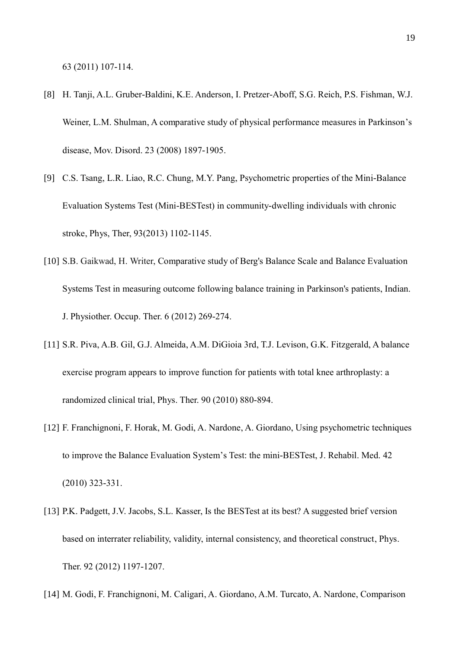63 (2011) 107-114.

- [8] H. Tanji, A.L. Gruber-Baldini, K.E. Anderson, I. Pretzer-Aboff, S.G. Reich, P.S. Fishman, W.J. Weiner, L.M. Shulman, A comparative study of physical performance measures in Parkinson's disease, Mov. Disord. 23 (2008) 1897-1905.
- [9] C.S. Tsang, L.R. Liao, R.C. Chung, M.Y. Pang, Psychometric properties of the Mini-Balance Evaluation Systems Test (Mini-BESTest) in community-dwelling individuals with chronic stroke, Phys, Ther, 93(2013) 1102-1145.
- [10] S.B. Gaikwad, H. Writer, Comparative study of Berg's Balance Scale and Balance Evaluation Systems Test in measuring outcome following balance training in Parkinson's patients, Indian. J. Physiother. Occup. Ther. 6 (2012) 269-274.
- [11] S.R. Piva, A.B. Gil, G.J. Almeida, A.M. DiGioia 3rd, T.J. Levison, G.K. Fitzgerald, A balance exercise program appears to improve function for patients with total knee arthroplasty: a randomized clinical trial, Phys. Ther. 90 (2010) 880-894.
- [12] F. Franchignoni, F. Horak, M. Godi, A. Nardone, A. Giordano, Using psychometric techniques to improve the Balance Evaluation System's Test: the mini-BESTest, J. Rehabil. Med. 42 (2010) 323-331.
- [13] P.K. Padgett, J.V. Jacobs, S.L. Kasser, Is the BESTest at its best? A suggested brief version based on interrater reliability, validity, internal consistency, and theoretical construct, Phys. Ther. 92 (2012) 1197-1207.
- [14] M. Godi, F. Franchignoni, M. Caligari, A. Giordano, A.M. Turcato, A. Nardone, Comparison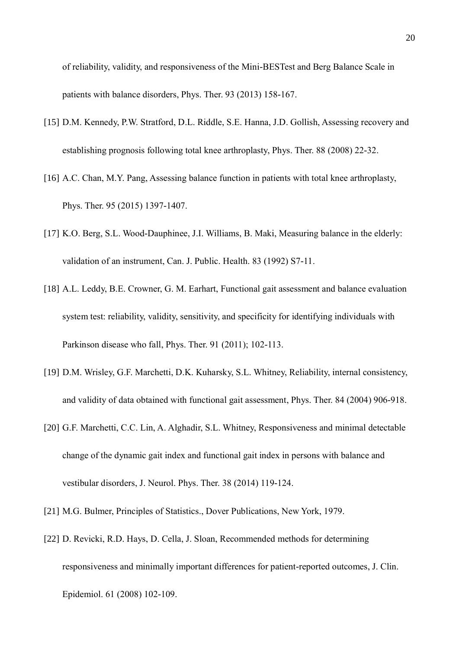of reliability, validity, and responsiveness of the Mini-BESTest and Berg Balance Scale in patients with balance disorders, Phys. Ther. 93 (2013) 158-167.

- [15] D.M. Kennedy, P.W. Stratford, D.L. Riddle, S.E. Hanna, J.D. Gollish, Assessing recovery and establishing prognosis following total knee arthroplasty, Phys. Ther. 88 (2008) 22-32.
- [16] A.C. Chan, M.Y. Pang, Assessing balance function in patients with total knee arthroplasty, Phys. Ther. 95 (2015) 1397-1407.
- [17] K.O. Berg, S.L. Wood-Dauphinee, J.I. Williams, B. Maki, Measuring balance in the elderly: validation of an instrument, Can. J. Public. Health. 83 (1992) S7-11.
- [18] A.L. Leddy, B.E. Crowner, G. M. Earhart, Functional gait assessment and balance evaluation system test: reliability, validity, sensitivity, and specificity for identifying individuals with Parkinson disease who fall, Phys. Ther. 91 (2011); 102-113.
- [19] D.M. Wrisley, G.F. Marchetti, D.K. Kuharsky, S.L. Whitney, Reliability, internal consistency, and validity of data obtained with functional gait assessment, Phys. Ther. 84 (2004) 906-918.
- [20] G.F. Marchetti, C.C. Lin, A. Alghadir, S.L. Whitney, Responsiveness and minimal detectable change of the dynamic gait index and functional gait index in persons with balance and vestibular disorders, J. Neurol. Phys. Ther. 38 (2014) 119-124.
- [21] M.G. Bulmer, Principles of Statistics., Dover Publications, New York, 1979.
- [22] D. Revicki, R.D. Hays, D. Cella, J. Sloan, Recommended methods for determining responsiveness and minimally important differences for patient-reported outcomes, J. Clin. Epidemiol. 61 (2008) 102-109.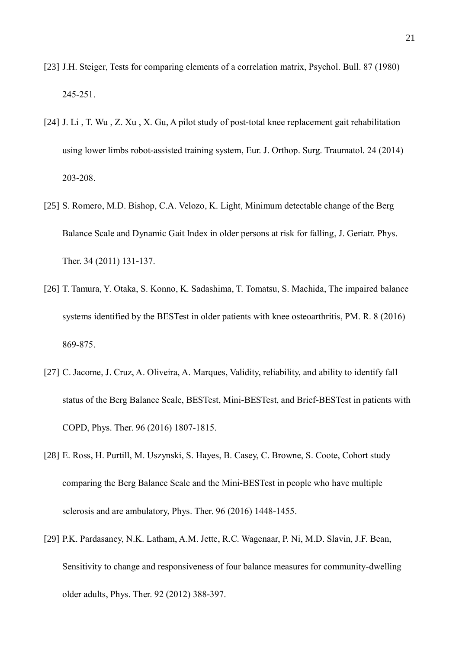- [23] J.H. Steiger, Tests for comparing elements of a correlation matrix, Psychol. Bull. 87 (1980) 245-251.
- [24] J. [Li ,](https://www.ncbi.nlm.nih.gov/pubmed/?term=Li%20J%5BAuthor%5D&cauthor=true&cauthor_uid=23412304) T. [Wu ,](https://www.ncbi.nlm.nih.gov/pubmed/?term=Wu%20T%5BAuthor%5D&cauthor=true&cauthor_uid=23412304) Z. [Xu ,](https://www.ncbi.nlm.nih.gov/pubmed/?term=Xu%20Z%5BAuthor%5D&cauthor=true&cauthor_uid=23412304) X. Gu, A pilot study of post-total knee replacement gait rehabilitation using lower limbs robot-assisted training system, Eur. J. Orthop. Surg. [Traumatol.](https://www.ncbi.nlm.nih.gov/pubmed/23412304) 24 (2014) 203-208.
- [25] S. [Romero,](https://www.ncbi.nlm.nih.gov/pubmed/?term=Romero%20S%5BAuthor%5D&cauthor=true&cauthor_uid=21937903) M.D. [Bishop,](https://www.ncbi.nlm.nih.gov/pubmed/?term=Bishop%20MD%5BAuthor%5D&cauthor=true&cauthor_uid=21937903) C.A. [Velozo,](https://www.ncbi.nlm.nih.gov/pubmed/?term=Velozo%20CA%5BAuthor%5D&cauthor=true&cauthor_uid=21937903) K. [Light,](https://www.ncbi.nlm.nih.gov/pubmed/?term=Light%20K%5BAuthor%5D&cauthor=true&cauthor_uid=21937903) Minimum detectable change of the Berg Balance Scale and Dynamic Gait Index in older persons at risk for falling, J. [Geriatr.](https://www.ncbi.nlm.nih.gov/pubmed/21937903) Phys. [Ther.](https://www.ncbi.nlm.nih.gov/pubmed/21937903) 34 (2011) 131-137.
- [26] T. [Tamura,](https://www.ncbi.nlm.nih.gov/pubmed/?term=Tamura%20T%5BAuthor%5D&cauthor=true&cauthor_uid=26899547) Y. [Otaka,](https://www.ncbi.nlm.nih.gov/pubmed/?term=Otaka%20Y%5BAuthor%5D&cauthor=true&cauthor_uid=26899547) S. [Konno,](https://www.ncbi.nlm.nih.gov/pubmed/?term=Konno%20S%5BAuthor%5D&cauthor=true&cauthor_uid=26899547) K. [Sadashima,](https://www.ncbi.nlm.nih.gov/pubmed/?term=Sadashima%20K%5BAuthor%5D&cauthor=true&cauthor_uid=26899547) T. [Tomatsu,](https://www.ncbi.nlm.nih.gov/pubmed/?term=Tomatsu%20T%5BAuthor%5D&cauthor=true&cauthor_uid=26899547) S. [Machida,](https://www.ncbi.nlm.nih.gov/pubmed/?term=Machida%20S%5BAuthor%5D&cauthor=true&cauthor_uid=26899547) The impaired balance systems identified by the BESTest in older patients with knee osteoarthritis, [PM.](https://www.ncbi.nlm.nih.gov/pubmed/?term=The+Impaired+Balance+Systems+Identified+by+the+BESTest+in+Older+Patients+With+Knee+Osteoarthritis) R. 8 (2016) 869-875.
- [27] C. Jacome, J. Cruz, A. Oliveira, A. Marques, Validity, reliability, and ability to identify fall status of the Berg Balance Scale, BESTest, Mini-BESTest, and Brief-BESTest in patients with COPD, Phys. Ther. 96 (2016) 1807-1815.
- [28] E. Ross, H. Purtill, M. Uszynski, S. Hayes, B. Casey, C. Browne, S. Coote, Cohort study comparing the Berg Balance Scale and the Mini-BESTest in people who have multiple sclerosis and are ambulatory, Phys. Ther. 96 (2016) 1448-1455.
- [29] P.K. Pardasaney, N.K. Latham, A.M. Jette, R.C. Wagenaar, P. Ni, M.D. Slavin, J.F. Bean, Sensitivity to change and responsiveness of four balance measures for community-dwelling older adults, Phys. Ther. 92 (2012) 388-397.